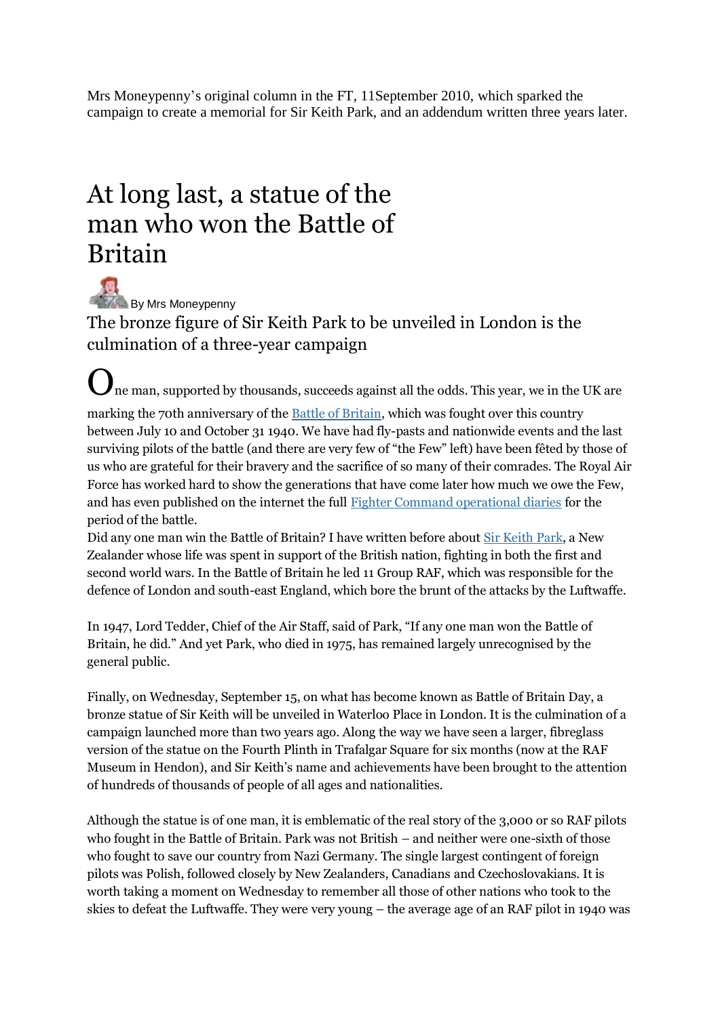Mrs Moneypenny's original column in the FT, 11September 2010, which sparked the campaign to create a memorial for Sir Keith Park, and an addendum written three years later.

## At long last, a statue of the man who won the Battle of Britain

 $\frac{1}{2}$  By Mrs Moneypenny The bronze figure of Sir Keith Park to be unveiled in London is the culmination of a three-year campaign

One man, supported by thousands, succeeds against all the odds. This year, we in the UK are

marking the 70th anniversary of the <u>Battle of Britain</u>, which was fought over this country between July 10 and October 31 1940. We have had fly-pasts and nationwide events and the last surviving pilots of the battle (and there are very few of "the Few" left) have been fêted by those of us who are grateful for their bravery and the sacrifice of so many of their comrades. The Royal Air Force has worked hard to show the generations that have come later how much we owe the Few, and has even published on the internet the full [Fighter Command operational diaries](http://www.raf.mod.uk/bob1940/calendar.html) for the period of the battle.

Did any one man win the Battle of Britain? I have written before about [Sir Keith Park,](http://www.ft.com/cms/s/789819ca-61a8-11dc-ae58-0000779fd2ac.html) a New Zealander whose life was spent in support of the British nation, fighting in both the first and second world wars. In the Battle of Britain he led 11 Group RAF, which was responsible for the defence of London and south-east England, which bore the brunt of the attacks by the Luftwaffe.

In 1947, Lord Tedder, Chief of the Air Staff, said of Park, "If any one man won the Battle of Britain, he did." And yet Park, who died in 1975, has remained largely unrecognised by the general public.

Finally, on Wednesday, September 15, on what has become known as Battle of Britain Day, a bronze statue of Sir Keith will be unveiled in Waterloo Place in London. It is the culmination of a campaign launched more than two years ago. Along the way we have seen a larger, fibreglass version of the statue on the Fourth Plinth in Trafalgar Square for six months (now at the RAF Museum in Hendon), and Sir Keith's name and achievements have been brought to the attention of hundreds of thousands of people of all ages and nationalities.

Although the statue is of one man, it is emblematic of the real story of the 3,000 or so RAF pilots who fought in the Battle of Britain. Park was not British – and neither were one-sixth of those who fought to save our country from Nazi Germany. The single largest contingent of foreign pilots was Polish, followed closely by New Zealanders, Canadians and Czechoslovakians. It is worth taking a moment on Wednesday to remember all those of other nations who took to the skies to defeat the Luftwaffe. They were very young – the average age of an RAF pilot in 1940 was